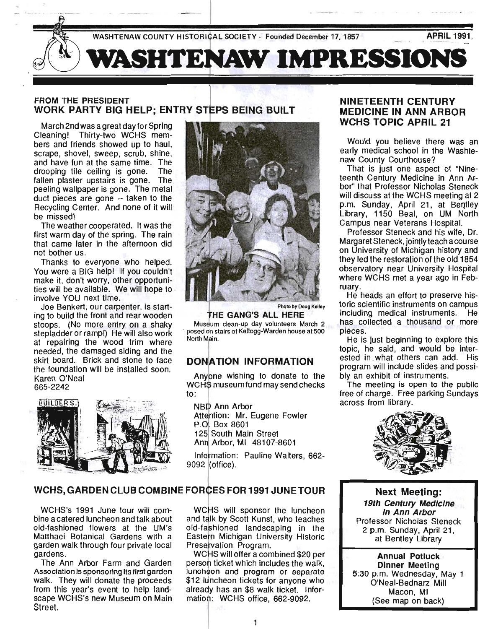

### FROM THE PRESIDENT WORK PARTY BIG HELP; ENTRY STEPS BEING BUILT

March 2nd was a great day for Spring Cleaning! Thirty-two WCHS members and friends showed up to haul, scrape, shovel, sweep, scrub, shine, and have fun at the same time. The drooping tile ceiling is gone. The fallen plaster upstairs is gone. The peeling wallpaper is gone. The metal duct pieces are gone -- taken to the Recycling Center. And none of it will be missed!

The weather cooperated. It was the first warm day of the spring. The rain that came later in the afternoon did not bother us.

Thanks to everyone who helped. You were a BIG help! If you couldn't make it, don't worry, other opportunities will be available. We will hope to . involve YOU next time. .

Joe Benkert, our carpenter, is starting to build the front and rear wooden stoops. (No more entry on a shaky stepladder or ramp!) He will also work at repairing the wood trim where needed, the damaged siding and the skirt board. Brick and stone to face the foundation will be installed soon. Karen O'Neal 665-2242





Photo by Doug Kelley

THE GANG'S ALL HERE Museum clean-up day volunteers March 2 . posed 9n stairs of Kellogg-Warden house at 500 North Main. .

### DONATION INFORMATION

Anypne wishing to donate to the WCHS museum fund may send checks to:

NBID Ann Arbor Attention: Mr. Eugene Fowler P.O. Box 8601 125 South Main Street Ann Arbor, MI 48107-8601

Information: Pauline Walters, 662-9092 (office).

### NINETEENTH CENTURY MEDICINE IN ANN ARBOR WCHS TOPIC APRIL 21

Would you believe there was an early medical school in the Washtenaw County Courthouse?

That is just one aspect of "Nineteenth Century Medicine in Ann Arbor" that Professor Nicholas Steneck will discuss at the WCHS meeting at 2 p.m. Sunday, April 21, at Bentley Library, 1150 Beal, on UM North Campus near Veterans Hospital.

Professor Steneck and his wife, Dr. Margaret Steneck, jointly teach acourse on University of Michigan history and they led the restoration of the old 1854 observatory near University Hospital where WCHS met a year ago in February.

He heads an effort to preserve historic scientific instruments on campus including medical instruments. He has collected a thousand or more pieces.

He is just beginning to explore this topic, he said, and would be interested in what others can add. His program will include slides and possibly an exhibit of instruments.

The meeting is open to the public free of charge. Free parking Sundays across from library.



### WCHS, GARDEN CLUB COMBINE FORCES FOR 1991 JUNE TOUR

WCHS's 1991 June tour will combine a catered luncheon and talk about old-fashioned flowers at the UM's Matthaei Botanical Gardens with a garden walk through four private local gardens.

The Ann Arbor Farm and Garden Association is sponsoring its first garden walk. They will donate the proceeds from this year's event to help landscape WCHS's new Museum on Main Street.

WCHS will sponsor the luncheon and talk by Scott Kunst, who teaches old-fashioned landscaping in the Eastern Michigan University Historic Preservation Program.

WCHS will offer a combined \$20 per person ticket which includes the walk. luncheon and program or separate \$12 luncheon tickets for anyone who already has an \$8 walk ticket. Information: WCHS office, 662-9092.

Next Meeting: 19th Century Medicine In Ann Arbor Professor Nicholas Steneck 2 p.m. Sunday, April 21, at Bentley Library

Annual Potluck Dinner Meeting 5:30 p;m. Wednesday, May 1 O'Neal-Bednarz Mill Macon, MI (See map on back)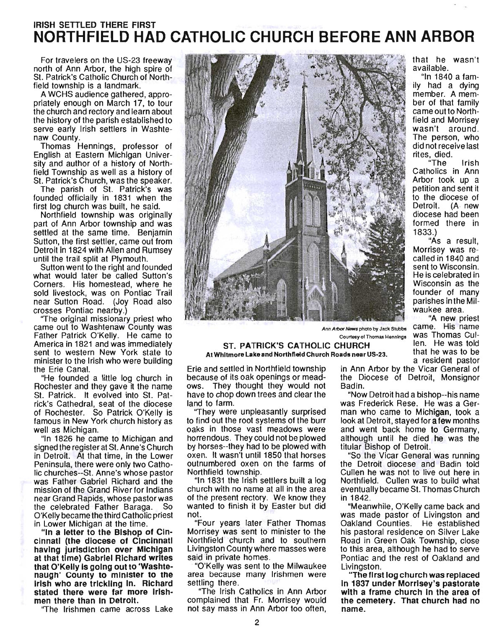## IRISH SETTLED THERE FIRST **NORTHFIELD HAD CATHOLIC CHURCH BEFORE ANN ARBOR**

For travelers on the US-23 freeway north of Ann Arbor, the high spire of St. Patrick's Catholic Church of Northfield township is a landmark.

A WCHS audience gathered, appropriately enough on March 17, to tour the church and rectory and learn about the history of the parish established to serve early Irish settlers in Washtenaw County.

Thomas Hennings, professor of English at Eastern Michigan University and author of a history of Northfield Township as well as a history of St. Patrick's Church, was the speaker.

The parish of St. Patrick's was founded officially in 1831 when the first log church was built, he said.

Northfield township was originally part of Ann Arbor township and was settled at the same time. Benjarnin Sutton, the first settler, came out from Detroit in 1824 with Allen and Rumsey until the trail split at Plymouth. Sutton went to the right and founded

what would later be called Sutton's Corners. His homestead, where he sold livestock, was on Pontiac Trail near Sutton Road. (Joy Road also crosses Pontiac nearby.)

"The original missionary priest who came out to Washtenaw County was Father Patrick O'Kelly. He came to America in 1821 and was immediately sent to western New York state to minister to the Irish who were building the Erie Canal.

"He founded a little log church in Rochester and they gave it the name St. Patrick. It evolved into St. Patrick's Cathedral, seat of the diocese of Rochester. So Patrick O'Kelly is famous in New York church history as well as Michigan.

"In 1826 he came to Michigan and signed the register at St. Anne's Church in Detroit. At that time, in the Lower Peninsula, there were only two Catholic churches--St. Anne's whose pastor was Father Gabriel Richard and the mission of the Grand River for Indians near Grand Rapids, whose pastor was the celebrated Father Baraga. So O'Kelly became the third Catholic priest in Lower Michigan at the time.

"In a letter to the Bishop of Cincinnati (the diocese of Cincinnati having jurisdiction over Michigan at that time) Gabriel Richard writes that O'Kelly Is going out to 'Washtenaugh' county to mInIster to the Irish who are trickling In. Richard stated there were far more Irishmen there than In Detroit.

"The Irishmen came across Lake



Ann Arbor News photo by Jack Stubbs Came. His name Courtesy of Thomas Hennings Was Thomas Cul-

that he wasn 't available.

"In 1840 a family had a dying member. A member of that family came out to Northfield and Morrisey wasn't around. The person, who did not receive last rites, died.

"The Irish Catholics in Ann Arbor took up a petition and sent it to the diocese of Detroit. (A. new diocese had been formed there in 1833.)

"As a result, Morrisey was recalled in 1840 and sent to Wisconsin.<br>He is celebrated in Wisconsin as the founder of many parishes in the Milwaukee area.

"A new priest that he was to be a resident pastor

### ST. PATRICK'S CATHOLIC CHURCH len. He was told At Whitmore Lake and Northfield Church Roads near US-23.

Erie and settled in Northfield township because of its oak openings or meadows. They thought they would not have to chop down trees and clear the land to farm.

"They were unpleasantly surprised to find out the root systems of the burr oaks in those vast meadows were horrendous. They could not be plowed by horses--they had to be plowed with oxen. It wasn't until 1850 that horses outnumbered oxen on the farms of Northfield townShip.

"In 1831 the Irish settlers built a log church with no name at all in the area of the present rectory. We know they wanted to finish it by Easter but did not.

"Four years later Father Thomas Morrisey was sent to minister to the Northfield church and to southern Livingston County where masses were said in private homes.

"O'Kelly was sent to the Milwaukee area because many Irishmen were settling there.

"The Irish Catholics in Ann Arbor complained that Fr. Morrisey would not say mass in Ann Arbor too often,

in Ann Arbor by the Vicar General of the Diocese of Detroit, Monsignor Badin.

"Now Detroit had a bishop--his name was Frederick Rese. He was a German who came to Michigan, took a look at Detroit, stayed for **a few** months and went back home to Germany, although until he died he was the titular Bishop of Detroit.

"So the Vicar General was running the Detroit diocese and Badin told Cullen he was not to live out here in Northfield. Cullen was to build what eventually became St. Thomas Church in 1842.

"Meanwhile, O'Kelly came back and was made pastor of Livingston and Oakland Counties. He established his pastoral residence on Silver Lake Road in Green Oak Township, close to this area, although he had to serve Pontiac and the rest of Oakland and Livingston.

"The first log church was replaced In 1837 under Morrisey's pastorate with a frame church In the area of the cemetery. That church had no name.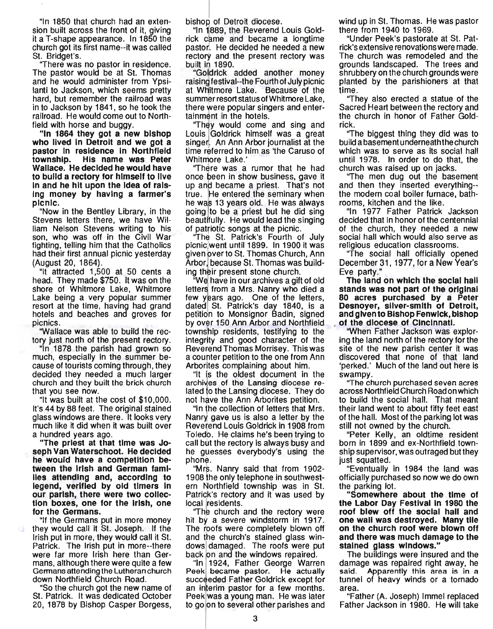"In 1850 that church had an extension built across the front of it, giving it a T-shape appearance. In 1850 the church got its first name--it was called St. Bridget's.

''There was no pastor in residence. The pastor would be at St. Thomas and he would administer from Ypsilanti to Jackson, which seems pretty hard, but remember the railroad was in to Jackson by 1841, so he took the railroad. He would come out to Northfield with horse and buggy.

"In 1864 they got a new bishop who lived In Detroit and we got a pastor In residence In Northfield township. His name was Peter Wallace. He decided he would have to build a rectory for himself to live In and he hit upon the Idea of rais-Ing money by having a farmer's picnic.

"Now in the Bentley Library, in the Stevens letters there, we have William Nelson Stevens writing to his son, who was off in the Civil War fighting, telling him that the Catholics had their first annual picnic yesterday (August 20, 1864).

"It attracted 1 ,500 at 50 cents a head. They made \$750. It was on the shore of Whitmore Lake, Whitmore Lake being a very popular summer resort at the time, having had grand hotels and beaches and groves for picnics.

"Wallace was able to build the rectory just north of the present rectory.

"In 1878 the parish had grown so much, especially in the summer because of tourists coming through, they decided they needed a much larger church and they built the brick church that you see now.

"It was built at the cost of \$10,000. It's 44 by 88 feet. The original stained glass windows are there. It looks very much like it did when it was built over a hundred years ago.

"The priest at that time was Joseph Van Waterschoot. He decided he would have a competition between the Irish and German families attending and, according to legend, verified by old timers In our parish, there were two collection boxes, one for the Irish, one for the Germans.

"If the Germans put in more money they would call it St. Joseph. If the Irish put in more, they would call it St. Patrick. The Irish put in more--there were far more Irish here than Germans, although there were quite a few Germans attending the Lutheran church down Northfield Church Road.

"So the church got the new name of St. Patrick. It was dedicated October 20, 1878 by Bishop Casper Borgess,

bishop of Detroit diocese.

"In 1 889, the Reverend Louis Goldn 1889, the Heverend Louis Gold-<br>ick came and became a longtime<br>pastor. He decided be needed a new pastor. He decided he needed a new rectory and the present rectory was built in 1890.

"Goldrick added another money raisindfestival--the Fourth of July picnic at WHitmore Lake. Because of the summer resort status of Whitmore Lake. there were popular singers and entertainment in the hotels.

"They would come and sing and Louis Goldrick himself was a great singer. An Ann Arbor journalist at the time referred to him as 'the Caruso of

Whitmore Lake.' '''<br>"There was a rumor that he had once been in show business, gave it up and became a priest. That's not true. He entered the seminary when he was 13 years old. He was always going to be a priest but he did Sing beautifully. He would lead the singing of patriotic songs at the picnic.

"The St. Patrick's Fourth of July picnic went until 1899. In 1900 it was given over to St. Thomas Church, Ann Arbor, because St. Thomas was build-

ing their present stone church.<br>"We have in our archives a gift of old letters from a Mrs. Nanry who died a few years ago. One of the letters, dated St. Patrick's day 1840, is a petition to Monsignor Badin, signed by over 150 Ann Arbor and Northfield township residents, testifying to the integrity and good character of the Reverend Thomas Morrisey. This was a counter petition to the one from Ann Arborites complaining about him.

"It is the oldest document in the archives of the Lansing diocese related to the Lansing diocese. They do not have the Ann Arborites petition.

"In he collection of letters that Mrs. Nanry gave us is also a letter by the Reverend Louis Goldrick in 1908 from Toledo. He claims he's been trying to call but the rectory is always busy and he guesses everybody's using the phone.

"Mrs. Nanry said that from 1902-1908 he only telephone in southwestern Northfield township was in St. Patrick's rectory and it was used by local residents.

''The church and the rectory were hit by a severe windstorm in 1917. The roofs were completely blown off and the church's stained glass windows damaged. The roofs were put back on and the windows repaired.

"In 1924, Father George Warren Peek became pastor. He actually succeeded Father Goldrick except for an interim pastor for a few months. Peek was a young man. He was later to go on to several other parishes and wind up in St. Thomas. He was pastor there from 1940 to 1969.

"Under Peek's pastorate at St. Patrick's extensive renovations were made. The church was remodeled and the grounds landscaped. The trees and shrubbery on the church grounds were planted by the parishioners at that time .

''They also erected a statue of the Sacred Heart between the rectory and the church in honor of Father Goldrick.

''The biggest thing they did was to build a basement underneath the church which was to serve as its social hall until 1978. In order to do that, the church was raised up on jacks.

''The men dug out the basement and then they inserted everything- the modern coal boiler furnace, bathrooms, kitchen and the like.

"In 1977 Father Patrick Jackson decided that in honor of the centennial of the church, they needed a new social hall which would also serve as religious education classrooms.

''The social hall officially opened December 31,1977, for a New Year's Eve party."

The land on which the SOCial hall stands was not part of the original 80 acres purchased by a Peter Desnoyer, sliver-smith of Detroit, and given to Bishop Fenwick, bishop of the diocese of Cincinnati.

"When Father Jackson was exploring the land north of the rectory for the site of the new parish center it was discovered that none of that land 'perked.' Much of the land out here is swampy.

''The church purchased seven acres across Northfield Church Road on which to build the social hall. That meant their land went to about fifty feet east of the hall. Most of the parking lot was still not owned by the church.

"Peter Kelly, an oldtime resident born in 1899 and ex-Northfield township supervisor, was outraged but they just squatted.

"Eventually in 1984 the land was officially purchased so now we do own the parking lot.

"Somewhere about the time of the Labor Day Festival In 1980 the roof blew off the social hall and one wall was destroyed. Many tile on the church roof were blown off and there was much damage to the stained glass windows."

The buildings were insured and the damage was repaired right away, he said. Apparently this area is in a tunnel of heavy winds or a tornado area.

"Father (A. Joseph) Immel replaced Father Jackson in 1980. He will take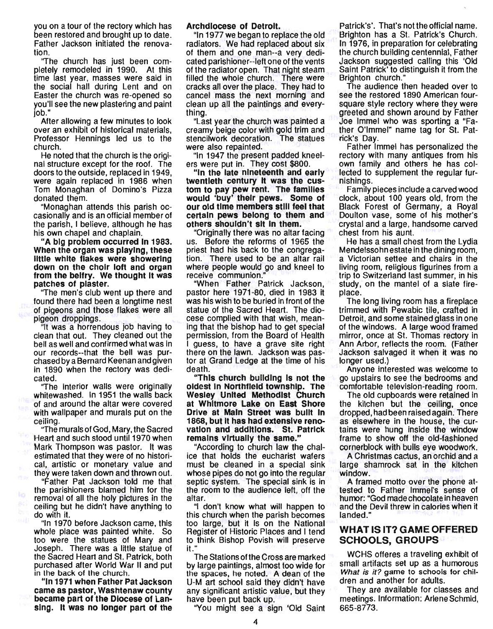you on a tour of the rectory which has been restored and brought up to date. Father Jackson initiated the renovation.

''The church has just been completely remodeled in 1990. At this time last year, masses were said in the social hall during Lent and on Easter the church was re-opened so you'll see the new plastering and paint job."

After allowing a few minutes to look over an exhibit of historical materials, Professor Hennings led us to the church.

He noted that the church is the original structure except for the roof. The doors to the outside, replaced in 1949, were again replaced in 1986 when Tom Monaghan of Domino's Pizza donated them.

"Monaghan attends this parish occasionally and is an official member of the parish, I believe, although he has his own chapel and chaplain.

"A big problem occurred In 1983. When the organ was playing, these little white flakes were showering down on the choir loft and organ from the belfry. We thought It was patches of plaster.

''The men's club went up there and found there had been a longtime nest of pigeons and those flakes were all pigeon droppings.

"It was a horrendous job having to clean that out. They cleaned out the bell as well and confirmed what was in our records--that the bell was purchased by a Bernard Keenan and given in 1890 when the rectory was dedicated.

''The interior walls were originally whitewashed. In 1951 the walls back of and around the altar were covered with wallpaper and murals put on the ceiling.

''The murals of God, Mary, the Sacred Heart and such stood until 1970 when Mark Thompson was pastor. It was estimated that they were of no historical, artistic or monetary value and they were taken down and thrown out.

"Father Pat Jackson told me that the parishioners blamed him for the removal of all the holy pictures in the ceiling but he didn't have anything to do with it.

"In 1970 before Jackson came, this whole place was painted white. So too were the statues of Mary and Joseph. There was a little statue of the Sacred Heart and St. Patrick, both purchased after World War II and put in the back of the church.

"In 1971 when Father Pat Jackson came as pastor, Washtenaw county became part of the Diocese of Lansing. It was no longer part of the

### Archdiocese of Detroit.

"In 1977 we began to replace the old radiators. We had replaced about six of them and one man--a very dedicated parishioner--Ieft one of the vents of the radiator open. That night steam filled the whole church. There were cracks all over the place. They had to cancel mass the next morning and clean up all the paintings and everything.

"Last year the church was painted a creamy beige color with gold trim and stencilwork decoration. The statues were also repainted.

"In 1947 the present padded kneelers were put in. They cost \$800.

"In the late nineteenth and early twentieth century It was the custom to pay pew rent. The families would 'buy' their pews. Some of our old time members stili feel that certain pews belong to them and others shouldn't sit In them.

"Originally there was no altar facing us. Before the reforms of 1965 the priest had his back to the congregation. There used to be an altar rail where people would go and kneel to receive communion."

"When Father Patrick Jackson, pastor here 1971-80, died in 1963 it was his wish to be buried in front of the statue of the Sacred Heart. The diocese complied with that wish, meaning that the bishop had to get special permission, from the Board of Health guess, to have a grave site right there on the lawn. Jackson was pastor at Grand Ledge at the time of his death.

"This church building Is not the oldest In Northfield townShip. The Wesley United Methodist Church at Whitmore lake on East Shore Drive at Main Street was built In 1868, but It has had extensive renovation and additions. St. Patrick remains virtually the same."

"According to church law the chalice that holds the eucharist wafers must be cleaned in a special sink whose pipes do not go into the regular septic system. The special sink is in the room to the audience left, off the altar.

"I don't know what will happen to this church when the parish becomes too large, but it is on the National Register of Historic Places and I tend to think Bishop Povish will preserve<br>it."

The Stations of the Cross are marked by large paintings, almost too wide for the spaces, he noted. A dean of the U-M art school said they didn't have any significant artistic value, but they have been put back up.

"You might see a sign 'Old Saint

Patrick's'. That's not the official name. Brighton has a St. Patrick's Church. In 1976, in preparation for celebrating the church building centennial, Father Jackson suggested calling this 'Old Saint Patrick' to distinguish it from the Brighton church."

The audience then headed over to see the restored 1890 American foursquare style rectory where they were greeted and shown around by Father Joe Immel who was sporting a "Father O'immel" name tag for St. Patrick's Day.

Father Immel has personalized the rectory with many antiques from his own family and others he has collected to supplement the regular furnishings.

Family pieces include a carved wood clock, about 100 years old, from the Black Forest of Germany, a Royal Doulton vase, some of his mother's crystal and a large, handsome carved chest from his aunt.

He has a small chest from the Lydia Mendelssohn estate in the dining room, a Victorian settee and chairs in the living room, religious figurines from a trip to Switzerland last summer, in his study, on the mantel of a slate fireplace.

The long living room has a fireplace trimmed with Pewabic tile, crafted in Detroit, and some stained glass in one of the windows. A large wood framed mirror, once at St. Thomas rectory in Ann Arbor, reflects the room. (Father Jackson salvaged it when it was no longer used.)

Anyone interested was welcome to go upstairs to see the bedrooms and comfortable television-reading room.

The old cupboards were retained in the kitchen but the ceiling, once dropped, had been raised again. There as elsewhere in the house, the curtains were hung inside the window frame to show off the old-fashioned cornerblock with bulls eye woodwork.

A Christmas cactus, an orchid and a large shamrock sat in the kitchen window.

A framed motto over the phone attested to Father Immel's sense of humor: "God made chocolate in heaven and the Devil threw in calories when it landed."

### WHAT IS IT? GAME OFFERED SCHOOLS, GROUPS

WCHS offeres a traveling exhibit of small artifacts set up as a humorous What is it? game to schools for children and another for adults.

They are available for classes and meetings. Information: Arlene Schmid, 665-8773.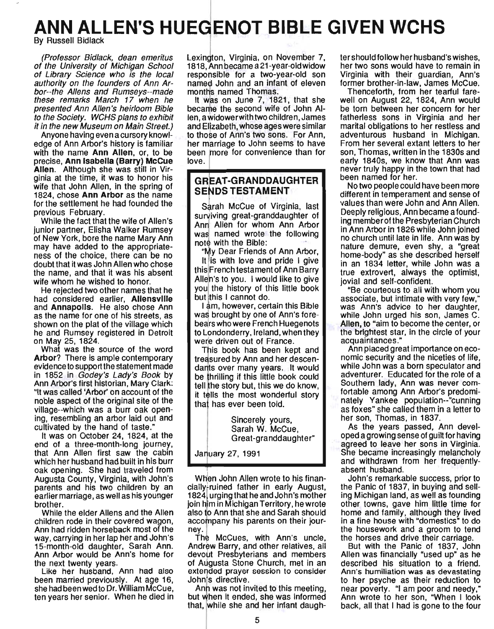# **ANN ALLEN'S HUEGENOT BIBLE GIVEN WCHS**

**By Russell Bidlack** 

(Professor Bidlack, dean emeritus Lexington, Virginia, on November 7, tershould follow her husband's wishes, of the University of Michigan School 1818, Ann became a 21-year-old widow her two sons would have to remain in of Library Science who is the local responsible for a two-year-old son Virginia with their guardian, Ann's authority on the founders of Ann Ar- named John and an infant of eleven former brother-in-law, James McCue. bor--the Allens and Rumseys--made months named Thomas. Thenceforth, from her tearful fare-

edge of Ann Arbor's history is familiar her marriage to John seems to have From her several extant letters to her with the name Ann Allen, or, to be been *more* for convenience than for son, Thomas, written in the 1830s and precise, Ann Isabella (Barry) McCue love. early 1840s, we know that Ann was Allen. Although she was still in Virginia at the time, it was to honor his **GREAT-GRANDDAUGHTER** been named for her. wife that John Allen, in the spring of  $S$ ENDS TESTAMENT No two people could have been more 1824, chose Ann Arbor as the name **different in temperament and sense of** different in temperament and sense of for the settlement he had founded the Sarah McCue of Virginia, last values than were John and Ann Allen.

junior partner, Elisha Walker Rumsey was named wrote the following in Ann Arbor in 1826 while John joined of New York, bore the name Mary Ann was hardled wrote the lollowing no church until late in life. Ann was by metropology in the Bible: may have added to the appropriate- notice with the biblist contains the nature demure, even shy, a "great ness of the choice, there can be no "My Dear Friends of Ann Arbor, home-body" as she described herself doubt that it was John Allen who chose  $\parallel$ , it is with love and pride I give in an 1834 letter, while John was a the name, and that it was his absent this French testament of Ann Barry true extrovert, always the optimist, wife whom he wished to honor. Alleh's to you. I would like to give jovial and self-confident.

had considered earlier, Allensville but this I cannot do. associate, but intimate with very few," and **Annapolis**. He also chose Ann 1 am, however, certain this Bible was Ann's advice to her daughter, as a was brought by one of Ann's fore-<br>while John urged his son, James C. shown on the plat of the village which **bears who were French Huegenots Allen, to "aim to become the center**, or he and Rumsey registered in Detroit to Londonderry, Ireland, when they the brightest star, in the circle of your on May 25, 1824. were driven out of France. **The acquaintances.**"

Arbor? There is ample contemporary  $\blacksquare$  treasured by Ann and her descen- nomic security and the niceties of life, evidence to support the statement made dants over many years. It would while John was a born speculator and in 1852 in Godey's Lady's Book by be thrilling if this little book could adventurer. Educated for the role of a Ann Arbor's first historian, Mary Clark: tell the story but, this we do know, Southern lady, Ann was never com-"It was called 'Arbor' on account of the it tells the most wonderful story fortable among Ann Arbor's predominoble aspect of the original site of the that has ever been told. The that has ever been to the that has ever been to the that has ever been to them in a letter to as foxes" she called them in a letter to ing, resembling an arbor laid out and Sincerely yours, her son, Thomas, in 1837.

It was on October 24, 1824, at the Great-granddaughter" oped a growing sense of guilt for having end of a three-month-long journey, that Ann Allen first saw the cabin January 27, 1991 She became increasingly melancholy which her husband had built in his burr  $\blacksquare$  and withdrawn from her frequentlyoak opening. She had traveled from **absolut husband.** absent husband. Augusta County, Virginia, with John's WHen John Allen wrote to his finan- John's remarkable success, prior to parents and his two children by an cially ruined father in early August, the Panic of 1837, in buying and sellearlier marriage, as well as his younger 1824, urging that he and John's mother ing Michigan land, as well as founding

children rode in their covered wagon, accompany his parents on their jour- in a fine house with "domestics" to do Ann had ridden horseback most of the ney. the new the housework and a groom to tend way, carrying in her lap her and John's The McCues, with Ann's uncle, the horses and drive their carriage. 15-month-old daughter, Sarah Ann. Andrew Barry, and other relatives, all But with the Panic of 1837, John Ann Arbor would be Ann's home for devout Presbyterians and members Allen was financially "used up" as he the next twenty years. The section of Augusta Stone Church, met in an described his situation to a friend.

been married previously. At age 16, John's directive. The state of their psyche as their reduction to

presented Ann Allen's heirloom Bible became the second wife of John Al- be torn between her concern for her to the Society. WCHS plans to exhibit len, a widower with two children, James fatherless sons in Virginia and her it in the new Museum on Main Street.) and Elizabeth, whose ages were similar marital obligations to her restless and Anyone having even a cursory knowl- to those of Ann's two sons. For Ann, adventurous husband in Michigan.

was brought by one of Ann's fore-

Like her husband, Ann had also extended prayer session to consider Ann's humiliation was as devastating

she had been wed to Dr. William McCue, Ann was not invited to this meeting, near poverty. "I am poor and needy." ten years her senior. When he died in but when it ended, she was informed Ann wrote to her son, "When I look that, while she and her infant daugh- back, all that I had is gone to the four

these remarks March 17 when he It wps on June 7, 1821, that she well on August 22, 1824, Ann would presented Ann Allen's heirloom Bible became the second wife of John AI- be torn between her concern for her

previous February.<br>While the fact that the wife of Allen's surviving great-granddaughter of Deeply religious, Ann became a found-<br>ing member of the Presbyterian Church Surviving great-granddaughter of Allen for Allen for whom Ann Arbor ing member of the Presbyterian Church

He rejected two other names that he you the history of this little book "Be courteous to all with whom you

What was the source of the word  $\Box$  This book has been kept and  $\Box$  Ann placed great importance on eco-

cultivated by the hand of taste." Sarah W. McCue, As the years passed, Ann devel-

brother. **Figure 1.1 State 1.1 State 1.1 State 1.1 State 1.1 State 1.1 State 1.1 State 1.1 State 1.1 State 1.1 State 1.1 State 1.1 State 1.1 State 1.1 State 1.1 State 1.1 State 1.1 State 1.1 State 1.1 State 1.1 State 1.1 S** While the elder Allens and the Allen also to Ann that she and Sarah should home and family, although they lived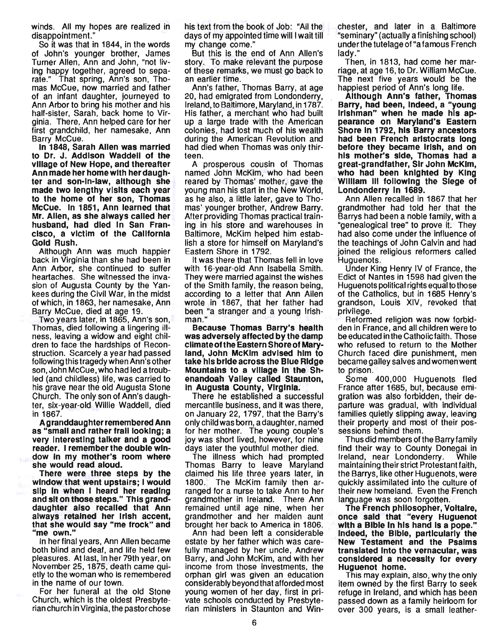winds. All my hopes are realized in disappointment. "

So it was that in 1844, in the words of John's younger brother, James Turner Allen, Ann and John, "not living happy together, agreed to separate." That spring, Ann's son, Thomas McCue, now married and father of an infant daughter, journeyed to Ann Arbor to bring his mother and his half-sister, Sarah, back home to Virginia. There, Ann helped care for her first grandchild, her namesake, Ann Barry McCue.

In 1848, Sarah Allen was married to Dr. J. Addison Waddell of the village of New Hope, and thereafter Ann made her home with her daughter and son-In-law, although she made two lengthy visits each year to the home of her son, Thomas McCue. In 1851, Ann learned that Mr. Allen, as she always called her husband, had died In San Francisco, a victim of the California Gold Rush.

Although Ann was much happier back in Virginia than she had been in Ann Arbor, she continued to suffer heartaches. She witnessed the invasion of Augusta County by the Yankees during the Civil War, in the midst of which, in 1863, her namesake, Ann Barry McCue, died at age 19.

Two years later, in 1865, Ann's son, Thomas, died following a lingering illness, leaving a widow and eight children to face the hardships of Reconstruction. Scarcely a year had passed following this tragedy when Ann's other son, John McCue, who had led a troubled (and childless) life, was carried to his grave near the old Augusta Stone Church. The only son of Ann's daughter, six-year-old Willie Waddell, died in 1867.

A granddaughter remembered Ann as "small and rather frail looking; a very Interesting talker and a good reader. I remember the double window In my mother's room where she would read aloud.

There were three steps by the window that went upstairs; I would slip in when I heard her reading and sit on those steps." This granddaughter also recalled that Ann always retained her Irish accent, that she would say "me frock" and "me own."

In her final years, Ann Allen became both blind and deaf, and life held few pleasures. At last, in her 79th year, on November 25, 1875, death came quietly to the woman who is remembered in the name of our town.

For her funeral at the old Stone Church, which is the oldest Presbyterian church in Virginia, the pastor chose his text from the book of Job: "All the days of my appointed time will I wait till my change come."

But this is the end of Ann Allen's story. To make relevant the purpose of these remarks, we must go back to an earlier time.

Ann's father, Thomas Barry, at age 20, had emigrated from Londonderry, Ireland, to Baltimore, Maryland, in 1787. His father, a merchant who had built up a large trade with the American colonies, had lost much of his wealth during the American Revolution and had died when Thomas was only thirteen.

A prosperous cousin of Thomas named John McKim, who had been reared by Thomas' mother, gave the young man his start in the New World, as he also, a little later, gave to Thomas' younger brother, Andrew Barry. After providing Thomas practical training in his store and warehouses in Baltimore, McKim helped him establish a store for himself on Maryland's Eastern Shore in 1792.

It was there that Thomas fell in love with 16-year-old Ann Isabella Smith. They were married against the wishes of the Smith family, the reason being, according to a letter that Ann Allen wrote in 1867, that her father had been "a stranger and a young Irishman."

Because Thomas Barry's health was adversely affected by the damp climate ofthe Eastern Shore of Maryland, John McKim advised him to take his bride across the Blue Ridge Mountains to a village In the Shenandoah Valley called Staunton, In Augusta COunty, Virginia.

There he established a successful mercantile business, and it was there, on January 22, 1797, that the Barry's only child was born, a daughter, named for her mother. The young couple's joy was short lived, however, for nine days later the youthful mother died.

The illness which had prompted Thomas Barry to leave Maryland claimed his life three years later, in 1800. The McKim family then arranged for a nurse to take Ann to her grandmother in Ireland. There Ann remained until age nine, when her grandmother and her maiden aunt brought her back to America in 1806.

Ann had been left a considerable estate by her father which was carefully managed by her uncle, Andrew Barry, and John McKim, and with her income from those investments, the orphan girl was given an education considerably beyond that afforded most young women of her day, first in private schools conducted by Presbyterian ministers in Staunton and Winchester, and later in a Baltimore "seminary" (actually a finishing school) under the tutelage of "a famous French lady."

Then, in 1813, had come her marriage, at age 16, to Dr. William McCue. The next five years would be the happiest period of Ann's long life.

Although Ann's father, Thomas Barry, had been, Indeed, a "young Irishman" when he made his appearance on Maryland's Eastern Shore In 1792, his Barry ancestors had been French aristocrats long before they became Irish, and on his mother's side, Thomas had a great-grandfather, Sir John McKim, who had been knighted by King William III following the Siege of Londonderry In 1689.

Ann Allen recalled in 1867 that her grandmother had told her that the Barrys had been a noble family, with a "genealogical tree" to prove it. They had also come under the influence of the teachings of John Calvin and had joined the religious reformers called Huguenots.

Under King Henry IV of France, the Edict of Nantes in 1598 had given the Huguenots political rights equal to those of the Catholics, but in 1685 Henry's grandson, Louis XIV, revoked that privilege.

Reformed religion was now forbidden in France, and all children were to be educated in the Catholic faith. Those who refused to return to the Mother Church faced dire punishment, men became galley salves and women went to prison.

Some 400,000 Huguenots fled France after 1685, but, because emigration was also forbidden, their departure was gradual, with individual families quietly slipping away, leaving their property and most of their possessions behind them.

Thus did members of the Barry family find their way to County Donegal in Ireland, near Londonderry. While maintaining their strict Protestant faith, the Barrys, like other Huguenots, were quickly assimilated into the culture of their new homeland. Even the French language was soon forgotten.

The French philosopher, Voltaire, once said that "every Huguenot with a Bible In his hand Is a pope." Indeed, the Bible, particularly the New Testament and the Psalms translated Into the vernacular, was considered a necessity for every Huguenot home.

This may explain, also, why the only item owned by the first Barry to seek refuge in Ireland, and which has been passed down as a family heirloom for over 300 years, is a small leather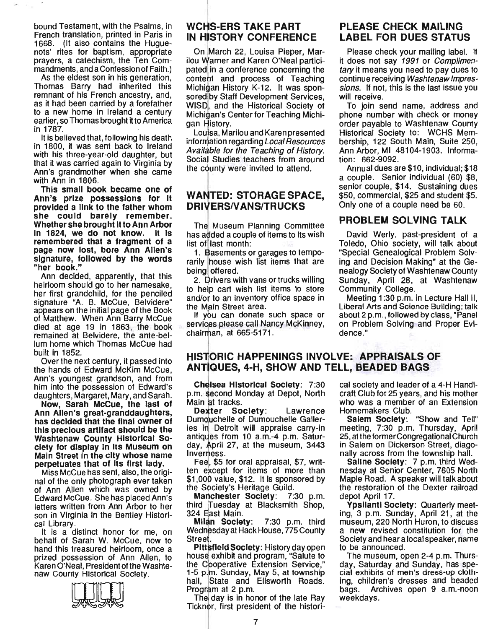bound Testament, with the Psalms, in French translation, printed in Paris in 1668. (It also contains the Huguenots' rites for baptism, appropriate prayers, a catechism, the Ten Commandments, and a Confession of Faith.)

As the eldest son in his generation, Thomas Barry had inherited this remnant of his French ancestry, and, as it had been carried by a forefather to a new home in Ireland a century earlier, so Thomas brought it to America in 1787.

It is believed that, following his death in 1800, it was sent back to Ireland with his three-year-old daughter, but that it was carried again to Virginia by Ann's grandmother when she came with Ann in 1806.

This small book became one of Ann's prize possessions for It provided a link to the father whom she could barely remember. Whether she brought It to Ann Arbor In 1824, we do not know. It Is remembered that a fragment of a page now lost, bore Ann Allen's signature, followed by the words "her book."

Ann deCided, apparently, that this heirloom should go to her namesake, her first grandchild, for the penciled signature "A. B. McCue, Belvidere" appears on the initial page of the Book of Matthew. When Ann Barry McCue died at age 19 in 1863, the book remained at Belvidere, the ante-bellum home which Thomas McCue had built in 1852.

Over the next century, it passed into the hands of Edward McKim McCue, Ann's youngest grandson, and from him into the possession of Edward's daughters, Margaret, Mary, and Sarah.

Now; Sarah McCue, the last of Ann Allen's great-granddaughters, has decided that the final owner of this precious artifact should be the Washtenaw County Historical Society for display In Its Museum on Main Street In the city whose name perpetuates that of Its first lady.

Miss McCue has sent, also, the original of the only photograph ever taken of Ann Allen which was owned by Edward McCue. She has placed Ann's letters written from Ann Arbor to her son in Virginia in the Bentley Historical Library.

It is a distinct honor for me, on behalf of Sarah W. McCue, now to hand this treasured heirloom, once a prized possession of Ann Allen, to Karen O'Neal, President of the Washtenaw Courity Historical Society.



# wCHS-ERS TAKE PART IN HISTORY CONFERENCE

On March 22, Louisa Pieper, Marilou Warner and Karen O'Neal participated in a conference concerning the content and process of Teaching Michigan History K-12. It was sponsored by Staff Development Services, WISD, and the Historical Society of Michigan's Center for Teaching Michigan History.

LOUisa, Marilou and Karen presented information regarding Local Resources Available for the Teaching of History. Social Studies teachers from around the county were invited to attend.

### WANTED: STORAGE SPACE, DRIVERS/VANS/TRUCKS

rarily house wish list items that are ing and Decision Making" at the Gebeing offered. The mealogy Society of Washtenaw County

to help cart wish list items to store Community College. and/or to an inventory office space in Meeting 1:30 p.m. in Lecture Hall II,

services please call Nancy McKinney, on Problem Solving and Proper Evichairman, at 665-5171. dence."

## PLEASE CHECK MAILING LABEL FOR DUES STATUS

Please check your mailing label. If it does not say 1991 or Complimentary it means you need to pay dues to continue receiving Washtenaw Impressions. If not, this is the last issue you will receive.

To join send name, address and phone number with check or money order payable to Washtenaw County Historical Society to: WCHS Membership, 122 South Main, Suite 250, Ann Arbor, MI 48104-1903. Information: 662-9092.

Annual dues are \$10, individual; \$18 a couple. Senior individual (60) \$8, senior couple, \$14. Sustaining dues \$50, commercial, \$25 and student \$5. Only one of a couple need be 60.

# The Museum Planning Committee PROBLEM SOLVING TALK

has added a couple of items to its wish David Werly, past-president of a list of last month: Toledo, Ohio society, will talk about 1. Basements or garages to tempo- "Special Genealogical Problem Solv-2. Drivers with vans or trucks willing Sunday, April 28, at Washtenaw

the Main Street area. Liberal Arts and Science Building; talk If you can donate such space or about 2 p.m., followed by class, "Panel

## HISTORIC HAPPENINGS INVOLVE: APPRAISALS OF ANTIQUES, 4-H, SHOW AND TELL, BEADED BAGS

Cheisea Historical Society: 7:30 p.m. second Monday at Depot, North Main at tracks.

Dexter Society: Lawrence Dum9uchelle of Dumouchelle Galleries in Detroit will appraise carry-in antiques from 10 a.m.-4 p.m. Saturday, April 27, at the museum, 3443 Invermess.

Fee, \$5 for oral appraisal, \$7, written except for items of more than \$1 ,oop value, \$12. It is sponsored by the Society's Heritage Guild.<br>**Manchester Society**: 7:30 p.m.

Manchester Society: third Tuesday at Blacksmith Shop, 324 East Main.

Milan Society: 7:30 p.m. third Wednesday at Hack House, 775 County Street.

Pittsfield Society: History day open house exhibit and program, "Salute to the Cooperative Extension Service," 1-5 p.m. Sunday, May 5, at township hall, State and Ellsworth Roads. Program at 2 p.m.

The day is in honor of the late Ray Ticknor, first president of the historical society and leader of a 4-H Handicraft Club for 25 years, and his mother who was a member of an Extension Homemakers Club.

Salem Society: "Show and Tell" meeting, 7:30 p.m. Thursday, April 25, at the former Congregational Church in Salem on Dickerson Street, diagonally across from the township hall.

Saline Society: 7 p.m. third Wednesday at Senior Center, 7605 North Maple Road. A speaker will talk about the restoration of the Dexter railroad depot April 17.

Ypsilanti Society: Quarterly meeting, 3 p.m. Sunday, April 21, at the museum, 220 North Huron, to discuss a new revised constitution for the Society and hear a local speaker, name to be announced.

The museum, open 2-4 p.m. Thursday, Saturday and Sunday, has special exhibits of men's dress-up clothing, children's dresses and beaded bags. Archives open 9 a.m.-noon weekdays.